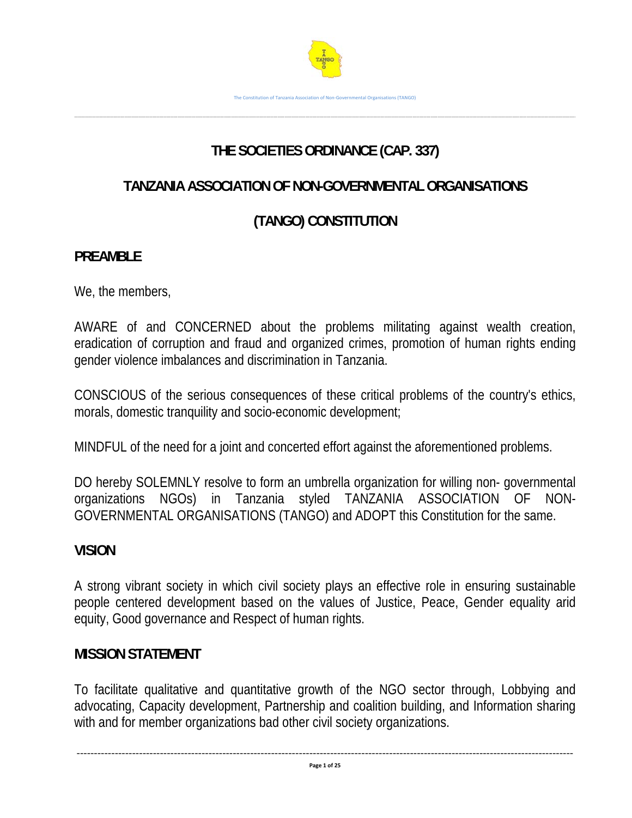

# **THE SOCIETIES ORDINANCE (CAP. 337)**

……………………………………………………………………………………………………………………………………………………………………………………………………………………………………………………………………………………………………………………………………………………………………………………..

# **TANZANIA ASSOCIATION OF NON-GOVERNMENTAL ORGANISATIONS**

# **(TANGO) CONSTITUTION**

# **PREAMBLE**

We, the members,

AWARE of and CONCERNED about the problems militating against wealth creation, eradication of corruption and fraud and organized crimes, promotion of human rights ending gender violence imbalances and discrimination in Tanzania.

CONSCIOUS of the serious consequences of these critical problems of the country's ethics, morals, domestic tranquility and socio-economic development;

MINDFUL of the need for a joint and concerted effort against the aforementioned problems.

DO hereby SOLEMNLY resolve to form an umbrella organization for willing non- governmental organizations NGOs) in Tanzania styled TANZANIA ASSOCIATION OF NON-GOVERNMENTAL ORGANISATIONS (TANGO) and ADOPT this Constitution for the same.

# **VISION**

A strong vibrant society in which civil society plays an effective role in ensuring sustainable people centered development based on the values of Justice, Peace, Gender equality arid equity, Good governance and Respect of human rights.

# **MISSION STATEMENT**

To facilitate qualitative and quantitative growth of the NGO sector through, Lobbying and advocating, Capacity development, Partnership and coalition building, and Information sharing with and for member organizations bad other civil society organizations.

‐‐‐‐‐‐‐‐‐‐‐‐‐‐‐‐‐‐‐‐‐‐‐‐‐‐‐‐‐‐‐‐‐‐‐‐‐‐‐‐‐‐‐‐‐‐‐‐‐‐‐‐‐‐‐‐‐‐‐‐‐‐‐‐‐‐‐‐‐‐‐‐‐‐‐‐‐‐‐‐‐‐‐‐‐‐‐‐‐‐‐‐‐‐‐‐‐‐‐‐‐‐‐‐‐‐‐‐‐‐‐‐‐‐‐‐‐‐‐‐‐‐‐‐‐‐‐‐‐‐‐‐‐‐‐‐‐‐‐‐‐‐‐ **Page 1 of 25**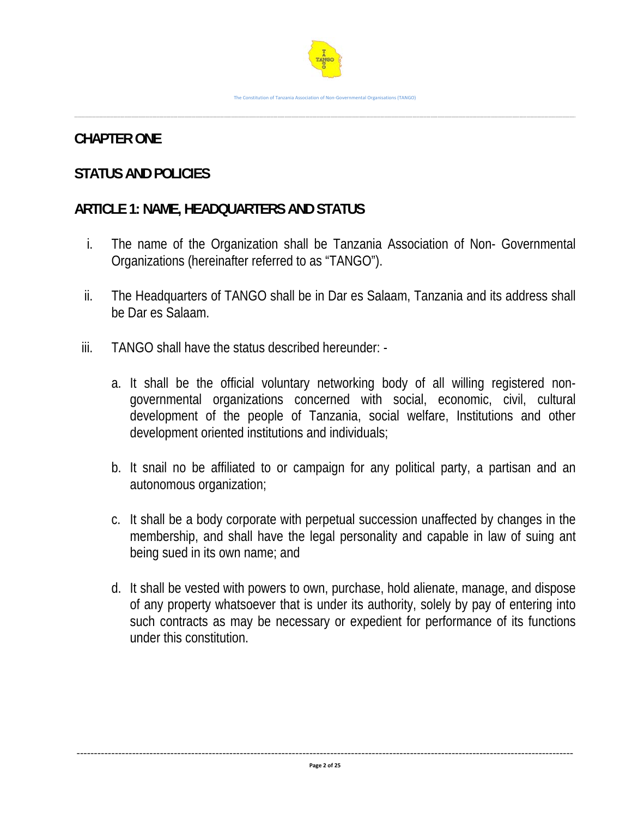

#### **CHAPTER ONE**

# **STATUS AND POLICIES**

# **ARTICLE 1: NAME, HEADQUARTERS AND STATUS**

- i. The name of the Organization shall be Tanzania Association of Non- Governmental Organizations (hereinafter referred to as "TANGO").
- ii. The Headquarters of TANGO shall be in Dar es Salaam, Tanzania and its address shall be Dar es Salaam.
- iii. TANGO shall have the status described hereunder:
	- a. It shall be the official voluntary networking body of all willing registered nongovernmental organizations concerned with social, economic, civil, cultural development of the people of Tanzania, social welfare, Institutions and other development oriented institutions and individuals;
	- b. It snail no be affiliated to or campaign for any political party, a partisan and an autonomous organization;
	- c. It shall be a body corporate with perpetual succession unaffected by changes in the membership, and shall have the legal personality and capable in law of suing ant being sued in its own name; and
	- d. It shall be vested with powers to own, purchase, hold alienate, manage, and dispose of any property whatsoever that is under its authority, solely by pay of entering into such contracts as may be necessary or expedient for performance of its functions under this constitution.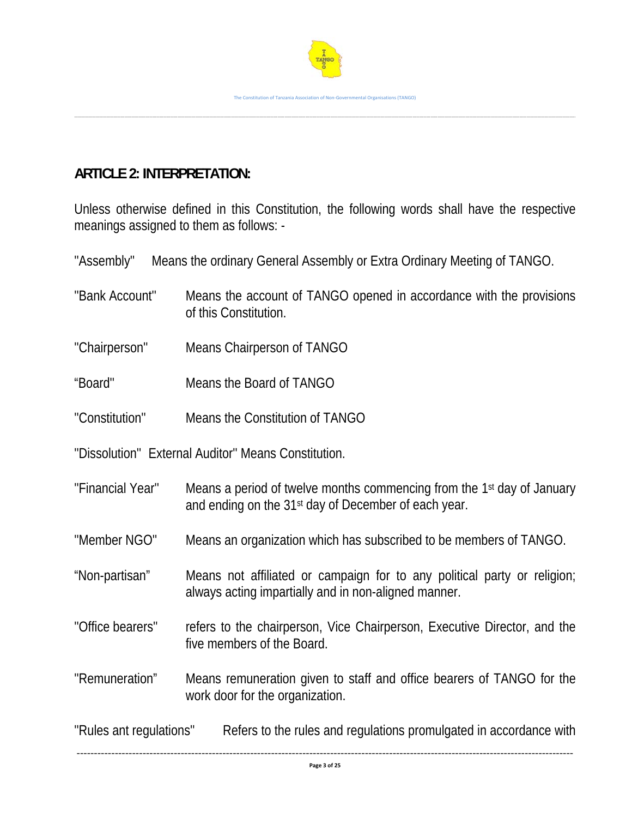

# **ARTICLE 2: INTERPRETATION:**

Unless otherwise defined in this Constitution, the following words shall have the respective meanings assigned to them as follows: -

"Assembly" Means the ordinary General Assembly or Extra Ordinary Meeting of TANGO.

| "Bank Account"          | Means the account of TANGO opened in accordance with the provisions<br>of this Constitution.                                                           |  |
|-------------------------|--------------------------------------------------------------------------------------------------------------------------------------------------------|--|
| "Chairperson"           | Means Chairperson of TANGO                                                                                                                             |  |
| "Board"                 | Means the Board of TANGO                                                                                                                               |  |
| "Constitution"          | Means the Constitution of TANGO                                                                                                                        |  |
|                         | "Dissolution" External Auditor" Means Constitution.                                                                                                    |  |
| "Financial Year"        | Means a period of twelve months commencing from the 1 <sup>st</sup> day of January<br>and ending on the 31 <sup>st</sup> day of December of each year. |  |
| "Member NGO"            | Means an organization which has subscribed to be members of TANGO.                                                                                     |  |
| "Non-partisan"          | Means not affiliated or campaign for to any political party or religion;<br>always acting impartially and in non-aligned manner.                       |  |
| "Office bearers"        | refers to the chairperson, Vice Chairperson, Executive Director, and the<br>five members of the Board.                                                 |  |
| "Remuneration"          | Means remuneration given to staff and office bearers of TANGO for the<br>work door for the organization.                                               |  |
| "Rules ant regulations" | Refers to the rules and regulations promulgated in accordance with                                                                                     |  |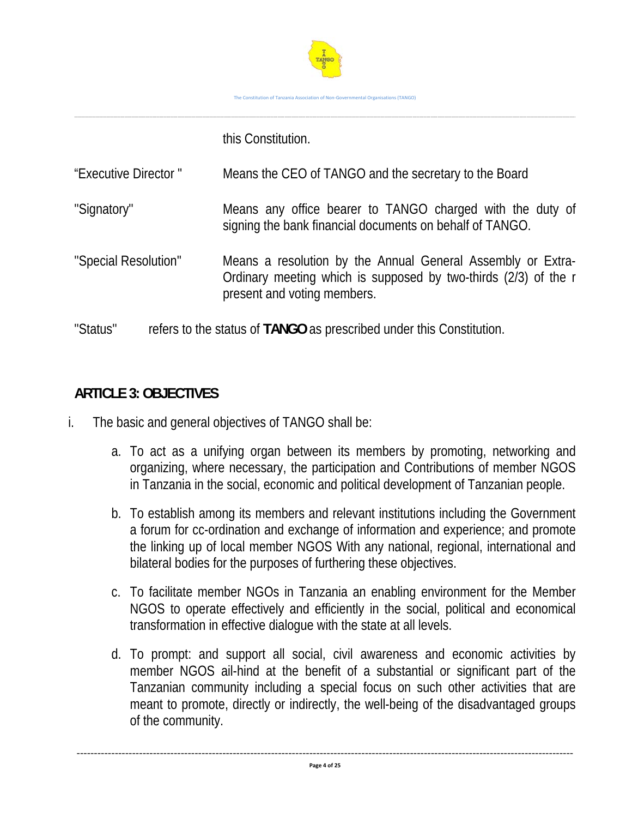

this Constitution.

| "Executive Director" | Means the CEO of TANGO and the secretary to the Board                                                                                                         |
|----------------------|---------------------------------------------------------------------------------------------------------------------------------------------------------------|
| "Signatory"          | Means any office bearer to TANGO charged with the duty of<br>signing the bank financial documents on behalf of TANGO.                                         |
| "Special Resolution" | Means a resolution by the Annual General Assembly or Extra-<br>Ordinary meeting which is supposed by two-thirds (2/3) of the r<br>present and voting members. |
| "Status"             | refers to the status of TANGO as prescribed under this Constitution.                                                                                          |

# **ARTICLE 3: OBJECTIVES**

i. The basic and general objectives of TANGO shall be:

- a. To act as a unifying organ between its members by promoting, networking and organizing, where necessary, the participation and Contributions of member NGOS in Tanzania in the social, economic and political development of Tanzanian people.
- b. To establish among its members and relevant institutions including the Government a forum for cc-ordination and exchange of information and experience; and promote the linking up of local member NGOS With any national, regional, international and bilateral bodies for the purposes of furthering these objectives.
- c. To facilitate member NGOs in Tanzania an enabling environment for the Member NGOS to operate effectively and efficiently in the social, political and economical transformation in effective dialogue with the state at all levels.
- d. To prompt: and support all social, civil awareness and economic activities by member NGOS ail-hind at the benefit of a substantial or significant part of the Tanzanian community including a special focus on such other activities that are meant to promote, directly or indirectly, the well-being of the disadvantaged groups of the community.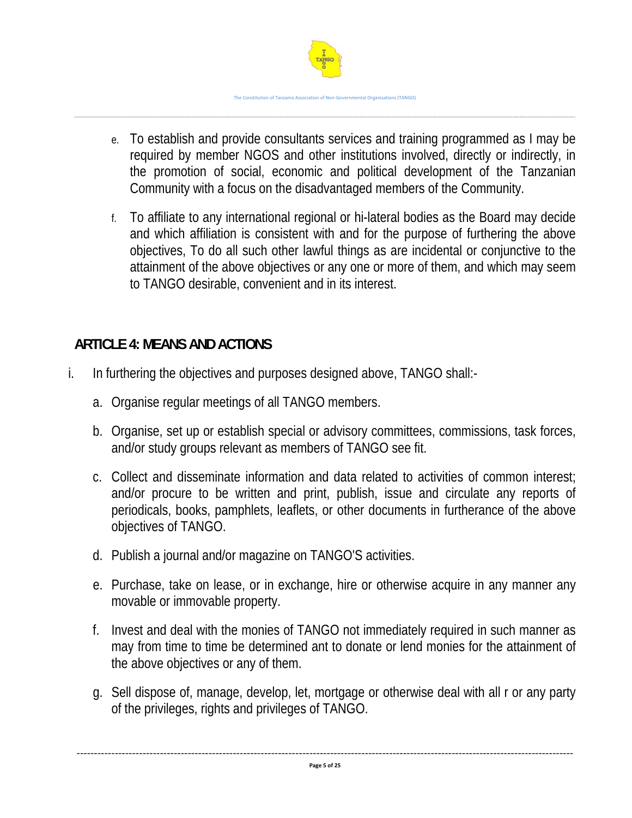

- e. To establish and provide consultants services and training programmed as I may be required by member NGOS and other institutions involved, directly or indirectly, in the promotion of social, economic and political development of the Tanzanian Community with a focus on the disadvantaged members of the Community.
- f. To affiliate to any international regional or hi-lateral bodies as the Board may decide and which affiliation is consistent with and for the purpose of furthering the above objectives, To do all such other lawful things as are incidental or conjunctive to the attainment of the above objectives or any one or more of them, and which may seem to TANGO desirable, convenient and in its interest.

# **ARTICLE 4: MEANS AND ACTIONS**

- i. In furthering the objectives and purposes designed above, TANGO shall:
	- a. Organise regular meetings of all TANGO members.
	- b. Organise, set up or establish special or advisory committees, commissions, task forces, and/or study groups relevant as members of TANGO see fit.
	- c. Collect and disseminate information and data related to activities of common interest; and/or procure to be written and print, publish, issue and circulate any reports of periodicals, books, pamphlets, leaflets, or other documents in furtherance of the above objectives of TANGO.
	- d. Publish a journal and/or magazine on TANGO'S activities.
	- e. Purchase, take on lease, or in exchange, hire or otherwise acquire in any manner any movable or immovable property.
	- f. Invest and deal with the monies of TANGO not immediately required in such manner as may from time to time be determined ant to donate or lend monies for the attainment of the above objectives or any of them.
	- g. Sell dispose of, manage, develop, let, mortgage or otherwise deal with all r or any party of the privileges, rights and privileges of TANGO.

‐‐‐‐‐‐‐‐‐‐‐‐‐‐‐‐‐‐‐‐‐‐‐‐‐‐‐‐‐‐‐‐‐‐‐‐‐‐‐‐‐‐‐‐‐‐‐‐‐‐‐‐‐‐‐‐‐‐‐‐‐‐‐‐‐‐‐‐‐‐‐‐‐‐‐‐‐‐‐‐‐‐‐‐‐‐‐‐‐‐‐‐‐‐‐‐‐‐‐‐‐‐‐‐‐‐‐‐‐‐‐‐‐‐‐‐‐‐‐‐‐‐‐‐‐‐‐‐‐‐‐‐‐‐‐‐‐‐‐‐‐‐‐ **Page 5 of 25**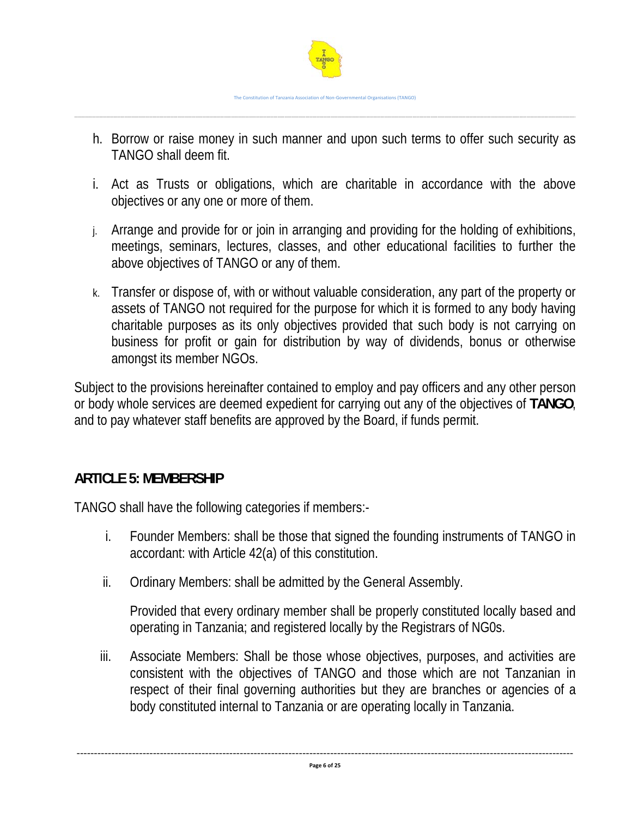

- h. Borrow or raise money in such manner and upon such terms to offer such security as TANGO shall deem fit.
- i. Act as Trusts or obligations, which are charitable in accordance with the above objectives or any one or more of them.
- j. Arrange and provide for or join in arranging and providing for the holding of exhibitions, meetings, seminars, lectures, classes, and other educational facilities to further the above objectives of TANGO or any of them.
- k. Transfer or dispose of, with or without valuable consideration, any part of the property or assets of TANGO not required for the purpose for which it is formed to any body having charitable purposes as its only objectives provided that such body is not carrying on business for profit or gain for distribution by way of dividends, bonus or otherwise amongst its member NGOs.

Subject to the provisions hereinafter contained to employ and pay officers and any other person or body whole services are deemed expedient for carrying out any of the objectives of **TANGO**, and to pay whatever staff benefits are approved by the Board, if funds permit.

# **ARTICLE 5: MEMBERSHIP**

TANGO shall have the following categories if members:-

- i. Founder Members: shall be those that signed the founding instruments of TANGO in accordant: with Article 42(a) of this constitution.
- ii. Ordinary Members: shall be admitted by the General Assembly.

Provided that every ordinary member shall be properly constituted locally based and operating in Tanzania; and registered locally by the Registrars of NG0s.

iii. Associate Members: Shall be those whose objectives, purposes, and activities are consistent with the objectives of TANGO and those which are not Tanzanian in respect of their final governing authorities but they are branches or agencies of a body constituted internal to Tanzania or are operating locally in Tanzania.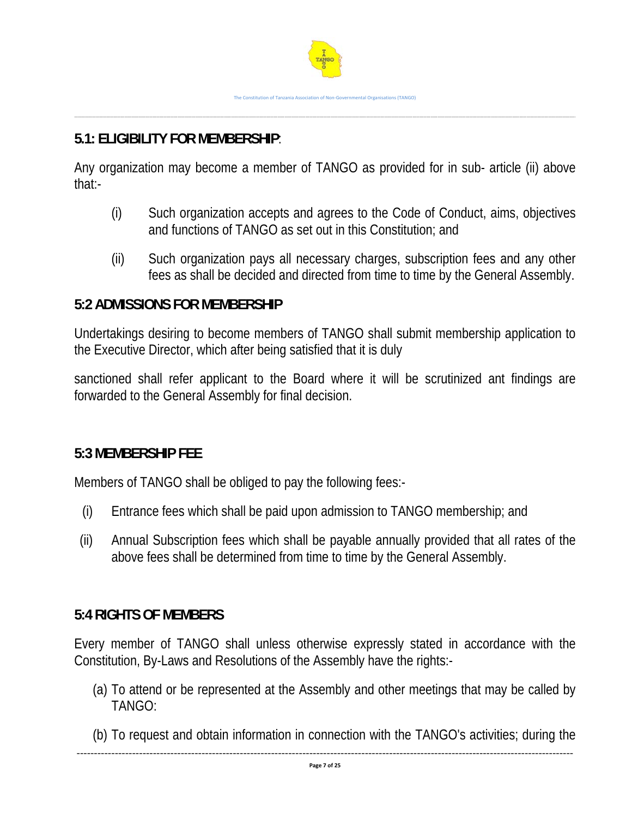# **5.1: ELIGIBILITY FOR MEMBERSHIP**:

Any organization may become a member of TANGO as provided for in sub- article (ii) above that:-

- (i) Such organization accepts and agrees to the Code of Conduct, aims, objectives and functions of TANGO as set out in this Constitution; and
- (ii) Such organization pays all necessary charges, subscription fees and any other fees as shall be decided and directed from time to time by the General Assembly.

#### **5:2 ADMISSIONS FOR MEMBERSHIP**

Undertakings desiring to become members of TANGO shall submit membership application to the Executive Director, which after being satisfied that it is duly

sanctioned shall refer applicant to the Board where it will be scrutinized ant findings are forwarded to the General Assembly for final decision.

# **5:3 MEMBERSHIP FEE**

Members of TANGO shall be obliged to pay the following fees:-

- (i) Entrance fees which shall be paid upon admission to TANGO membership; and
- (ii) Annual Subscription fees which shall be payable annually provided that all rates of the above fees shall be determined from time to time by the General Assembly.

# **5:4 RIGHTS OF MEMBERS**

Every member of TANGO shall unless otherwise expressly stated in accordance with the Constitution, By-Laws and Resolutions of the Assembly have the rights:-

- (a) To attend or be represented at the Assembly and other meetings that may be called by TANGO:
- (b) To request and obtain information in connection with the TANGO's activities; during the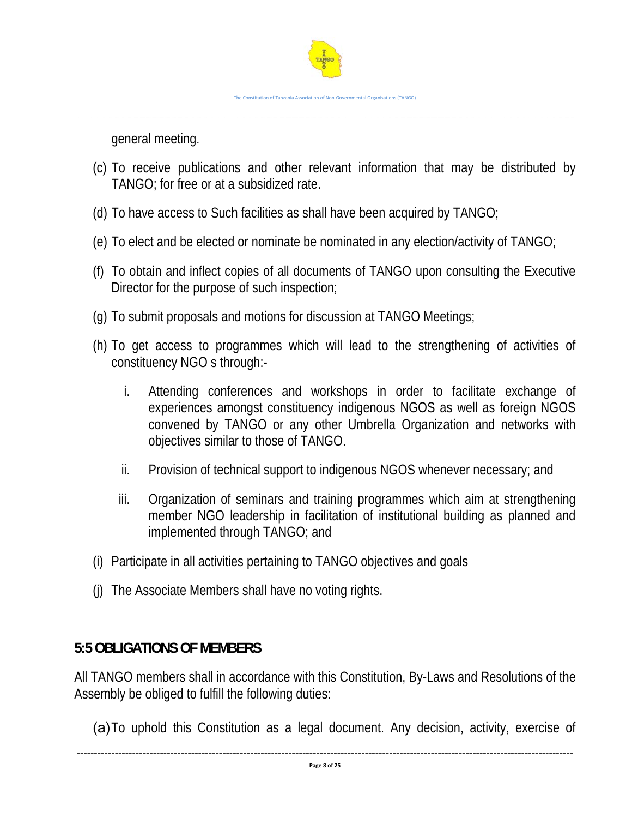

general meeting.

- (c) To receive publications and other relevant information that may be distributed by TANGO; for free or at a subsidized rate.
- (d) To have access to Such facilities as shall have been acquired by TANGO;
- (e) To elect and be elected or nominate be nominated in any election/activity of TANGO;
- (f) To obtain and inflect copies of all documents of TANGO upon consulting the Executive Director for the purpose of such inspection;
- (g) To submit proposals and motions for discussion at TANGO Meetings;
- (h) To get access to programmes which will lead to the strengthening of activities of constituency NGO s through:
	- i. Attending conferences and workshops in order to facilitate exchange of experiences amongst constituency indigenous NGOS as well as foreign NGOS convened by TANGO or any other Umbrella Organization and networks with objectives similar to those of TANGO.
	- ii. Provision of technical support to indigenous NGOS whenever necessary; and
	- iii. Organization of seminars and training programmes which aim at strengthening member NGO leadership in facilitation of institutional building as planned and implemented through TANGO; and
- (i) Participate in all activities pertaining to TANGO objectives and goals
- (j) The Associate Members shall have no voting rights.

# **5:5 OBLIGATIONS OF MEMBERS**

All TANGO members shall in accordance with this Constitution, By-Laws and Resolutions of the Assembly be obliged to fulfill the following duties:

(a)To uphold this Constitution as a legal document. Any decision, activity, exercise of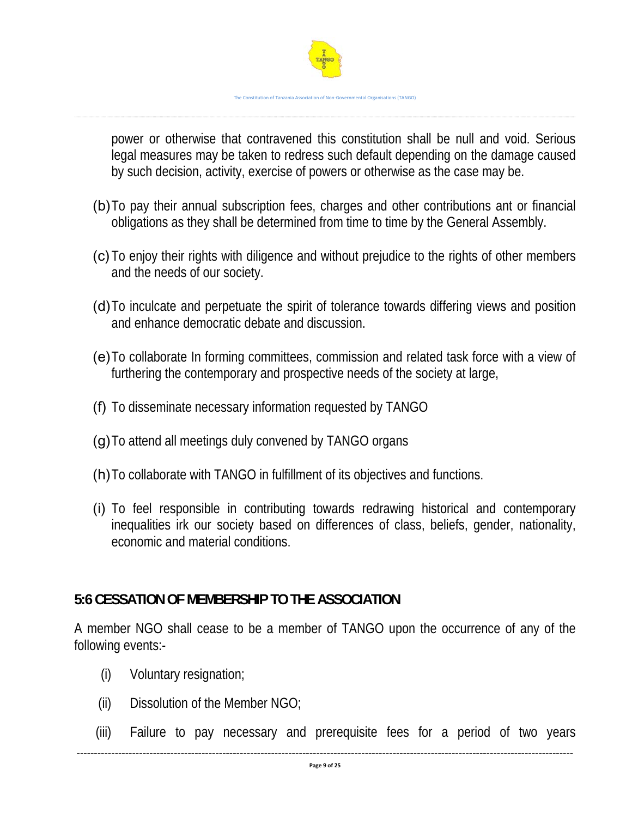

power or otherwise that contravened this constitution shall be null and void. Serious legal measures may be taken to redress such default depending on the damage caused by such decision, activity, exercise of powers or otherwise as the case may be.

- (b)To pay their annual subscription fees, charges and other contributions ant or financial obligations as they shall be determined from time to time by the General Assembly.
- (c)To enjoy their rights with diligence and without prejudice to the rights of other members and the needs of our society.
- (d)To inculcate and perpetuate the spirit of tolerance towards differing views and position and enhance democratic debate and discussion.
- (e)To collaborate In forming committees, commission and related task force with a view of furthering the contemporary and prospective needs of the society at large,
- (f) To disseminate necessary information requested by TANGO
- (g)To attend all meetings duly convened by TANGO organs
- (h)To collaborate with TANGO in fulfillment of its objectives and functions.
- (i) To feel responsible in contributing towards redrawing historical and contemporary inequalities irk our society based on differences of class, beliefs, gender, nationality, economic and material conditions.

# **5:6 CESSATION OF MEMBERSHIP TO THE ASSOCIATION**

A member NGO shall cease to be a member of TANGO upon the occurrence of any of the following events:-

- (i) Voluntary resignation;
- (ii) Dissolution of the Member NGO;
- (iii) Failure to pay necessary and prerequisite fees for a period of two years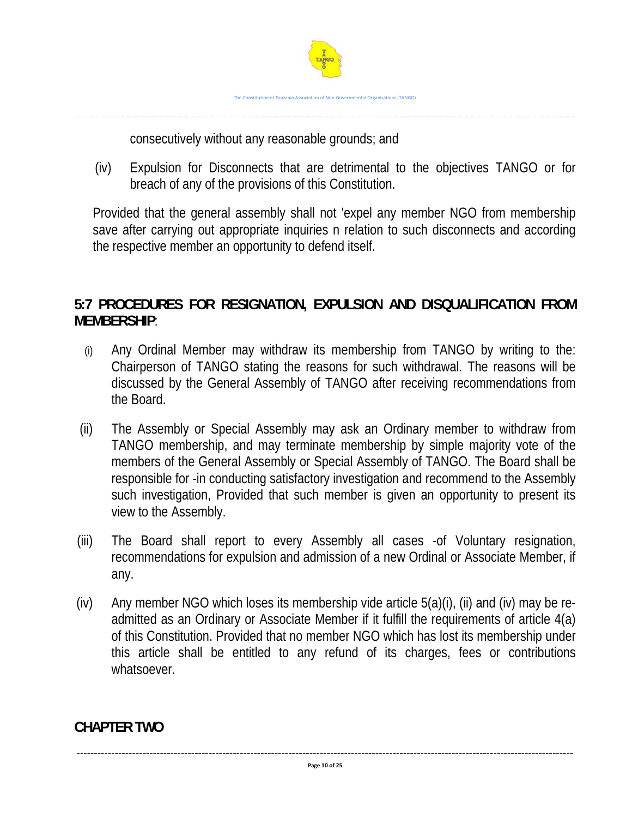

consecutively without any reasonable grounds; and

(iv) Expulsion for Disconnects that are detrimental to the objectives TANGO or for breach of any of the provisions of this Constitution.

Provided that the general assembly shall not 'expel any member NGO from membership save after carrying out appropriate inquiries n relation to such disconnects and according the respective member an opportunity to defend itself.

# **5:7 PROCEDURES FOR RESIGNATION, EXPULSION AND DISQUALIFICATION FROM MEMBERSHIP**:

- (i) Any Ordinal Member may withdraw its membership from TANGO by writing to the: Chairperson of TANGO stating the reasons for such withdrawal. The reasons will be discussed by the General Assembly of TANGO after receiving recommendations from the Board.
- (ii) The Assembly or Special Assembly may ask an Ordinary member to withdraw from TANGO membership, and may terminate membership by simple majority vote of the members of the General Assembly or Special Assembly of TANGO. The Board shall be responsible for -in conducting satisfactory investigation and recommend to the Assembly such investigation, Provided that such member is given an opportunity to present its view to the Assembly.
- (iii) The Board shall report to every Assembly all cases -of Voluntary resignation, recommendations for expulsion and admission of a new Ordinal or Associate Member, if any.
- (iv) Any member NGO which loses its membership vide article 5(a)(i), (ii) and (iv) may be readmitted as an Ordinary or Associate Member if it fulfill the requirements of article 4(a) of this Constitution. Provided that no member NGO which has lost its membership under this article shall be entitled to any refund of its charges, fees or contributions whatsoever.

**CHAPTER TWO** 

‐‐‐‐‐‐‐‐‐‐‐‐‐‐‐‐‐‐‐‐‐‐‐‐‐‐‐‐‐‐‐‐‐‐‐‐‐‐‐‐‐‐‐‐‐‐‐‐‐‐‐‐‐‐‐‐‐‐‐‐‐‐‐‐‐‐‐‐‐‐‐‐‐‐‐‐‐‐‐‐‐‐‐‐‐‐‐‐‐‐‐‐‐‐‐‐‐‐‐‐‐‐‐‐‐‐‐‐‐‐‐‐‐‐‐‐‐‐‐‐‐‐‐‐‐‐‐‐‐‐‐‐‐‐‐‐‐‐‐‐‐‐‐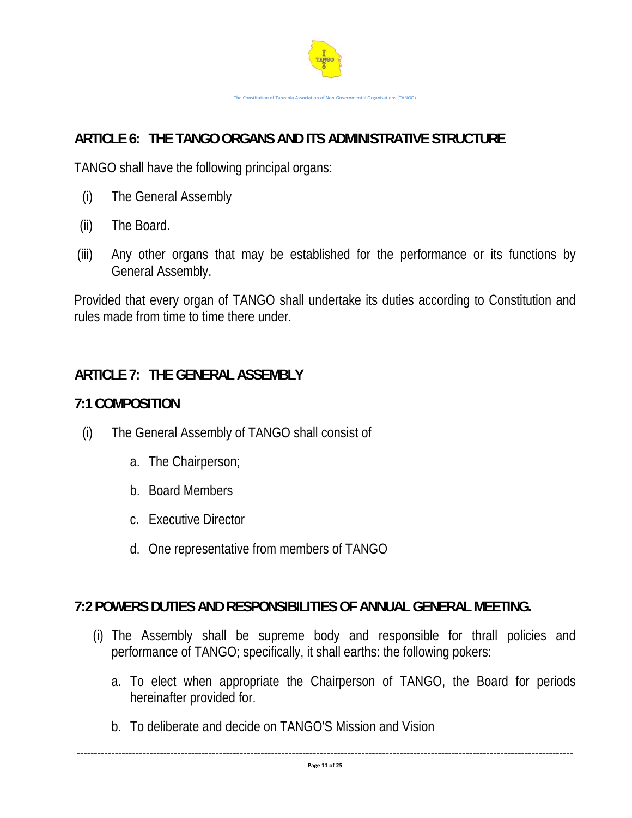

# **ARTICLE 6: THE TANGO ORGANS AND ITS ADMINISTRATIVE STRUCTURE**

TANGO shall have the following principal organs:

- (i) The General Assembly
- (ii) The Board.
- (iii) Any other organs that may be established for the performance or its functions by General Assembly.

Provided that every organ of TANGO shall undertake its duties according to Constitution and rules made from time to time there under.

#### **ARTICLE 7: THE GENERAL ASSEMBLY**

#### **7:1 COMPOSITION**

- (i) The General Assembly of TANGO shall consist of
	- a. The Chairperson;
	- b. Board Members
	- c. Executive Director
	- d. One representative from members of TANGO

# **7:2 POWERS DUTIES AND RESPONSIBILITIES OF ANNUAL GENERAL MEETING.**

- (i) The Assembly shall be supreme body and responsible for thrall policies and performance of TANGO; specifically, it shall earths: the following pokers:
	- a. To elect when appropriate the Chairperson of TANGO, the Board for periods hereinafter provided for.
	- b. To deliberate and decide on TANGO'S Mission and Vision

‐‐‐‐‐‐‐‐‐‐‐‐‐‐‐‐‐‐‐‐‐‐‐‐‐‐‐‐‐‐‐‐‐‐‐‐‐‐‐‐‐‐‐‐‐‐‐‐‐‐‐‐‐‐‐‐‐‐‐‐‐‐‐‐‐‐‐‐‐‐‐‐‐‐‐‐‐‐‐‐‐‐‐‐‐‐‐‐‐‐‐‐‐‐‐‐‐‐‐‐‐‐‐‐‐‐‐‐‐‐‐‐‐‐‐‐‐‐‐‐‐‐‐‐‐‐‐‐‐‐‐‐‐‐‐‐‐‐‐‐‐‐‐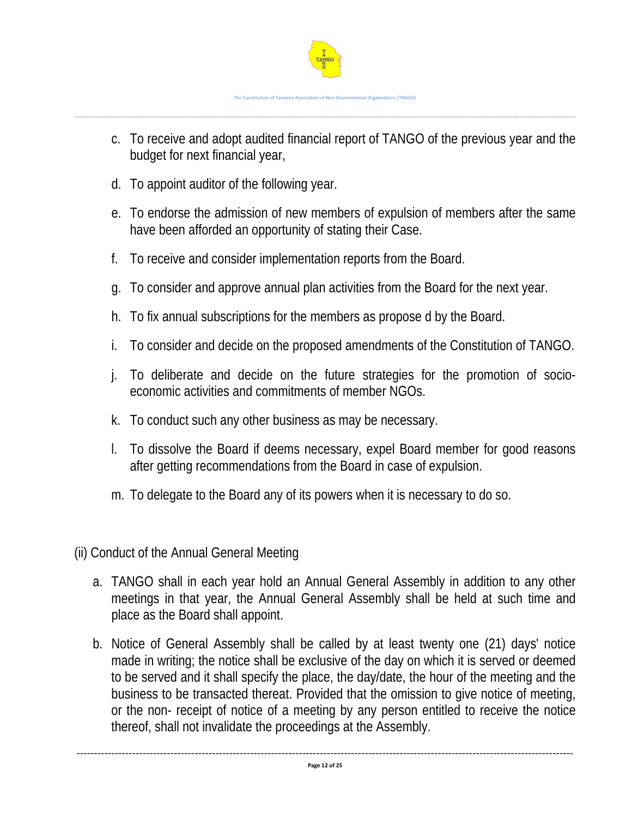

- c. To receive and adopt audited financial report of TANGO of the previous year and the budget for next financial year,
- d. To appoint auditor of the following year.
- e. To endorse the admission of new members of expulsion of members after the same have been afforded an opportunity of stating their Case.
- f. To receive and consider implementation reports from the Board.
- g. To consider and approve annual plan activities from the Board for the next year.
- h. To fix annual subscriptions for the members as propose d by the Board.
- i. To consider and decide on the proposed amendments of the Constitution of TANGO.
- j. To deliberate and decide on the future strategies for the promotion of socioeconomic activities and commitments of member NGOs.
- k. To conduct such any other business as may be necessary.
- l. To dissolve the Board if deems necessary, expel Board member for good reasons after getting recommendations from the Board in case of expulsion.
- m. To delegate to the Board any of its powers when it is necessary to do so.

(ii) Conduct of the Annual General Meeting

- a. TANGO shall in each year hold an Annual General Assembly in addition to any other meetings in that year, the Annual General Assembly shall be held at such time and place as the Board shall appoint.
- b. Notice of General Assembly shall be called by at least twenty one (21) days' notice made in writing; the notice shall be exclusive of the day on which it is served or deemed to be served and it shall specify the place, the day/date, the hour of the meeting and the business to be transacted thereat. Provided that the omission to give notice of meeting, or the non- receipt of notice of a meeting by any person entitled to receive the notice thereof, shall not invalidate the proceedings at the Assembly.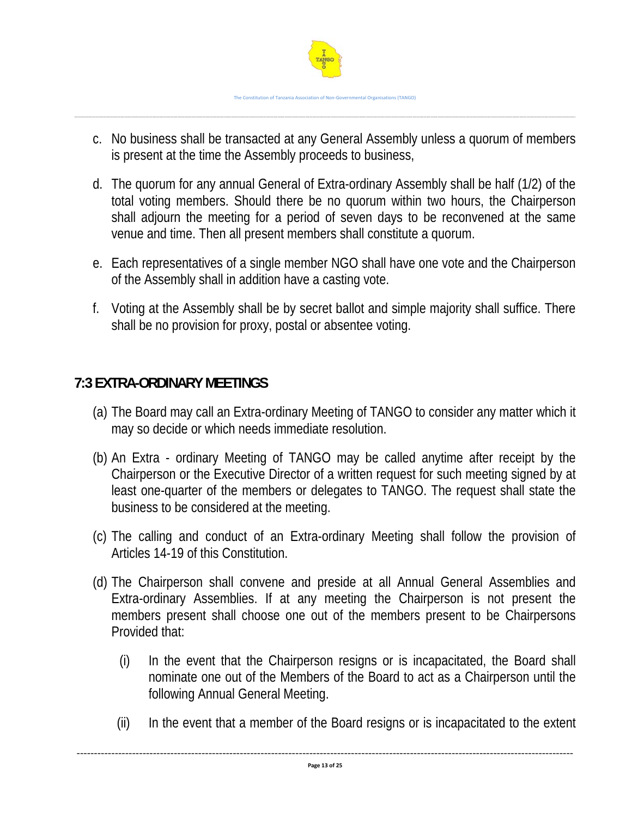

- c. No business shall be transacted at any General Assembly unless a quorum of members is present at the time the Assembly proceeds to business,
- d. The quorum for any annual General of Extra-ordinary Assembly shall be half (1/2) of the total voting members. Should there be no quorum within two hours, the Chairperson shall adjourn the meeting for a period of seven days to be reconvened at the same venue and time. Then all present members shall constitute a quorum.
- e. Each representatives of a single member NGO shall have one vote and the Chairperson of the Assembly shall in addition have a casting vote.
- f. Voting at the Assembly shall be by secret ballot and simple majority shall suffice. There shall be no provision for proxy, postal or absentee voting.

# **7:3 EXTRA-ORDINARY MEETINGS**

- (a) The Board may call an Extra-ordinary Meeting of TANGO to consider any matter which it may so decide or which needs immediate resolution.
- (b) An Extra ordinary Meeting of TANGO may be called anytime after receipt by the Chairperson or the Executive Director of a written request for such meeting signed by at least one-quarter of the members or delegates to TANGO. The request shall state the business to be considered at the meeting.
- (c) The calling and conduct of an Extra-ordinary Meeting shall follow the provision of Articles 14-19 of this Constitution.
- (d) The Chairperson shall convene and preside at all Annual General Assemblies and Extra-ordinary Assemblies. If at any meeting the Chairperson is not present the members present shall choose one out of the members present to be Chairpersons Provided that:
	- (i) In the event that the Chairperson resigns or is incapacitated, the Board shall nominate one out of the Members of the Board to act as a Chairperson until the following Annual General Meeting.
	- (ii) In the event that a member of the Board resigns or is incapacitated to the extent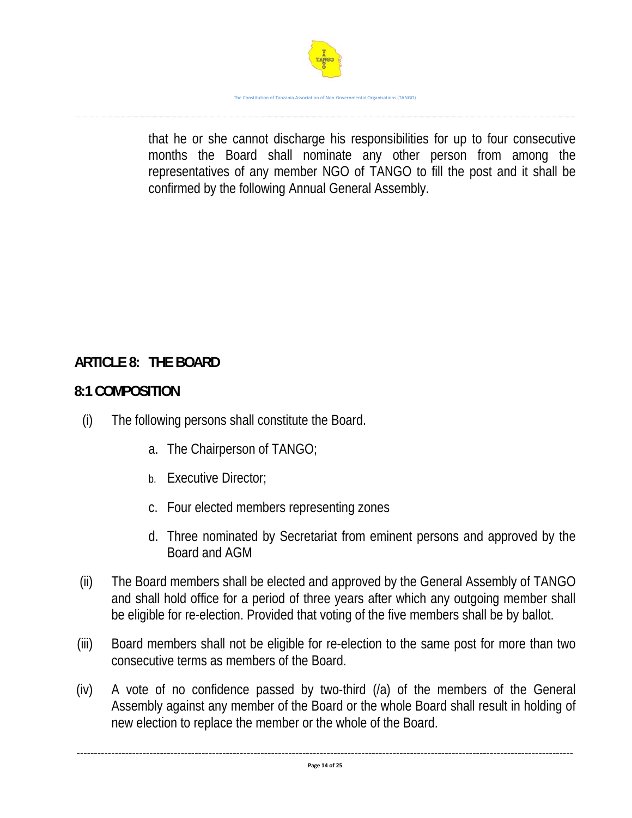

that he or she cannot discharge his responsibilities for up to four consecutive months the Board shall nominate any other person from among the representatives of any member NGO of TANGO to fill the post and it shall be confirmed by the following Annual General Assembly.

# **ARTICLE 8: THE BOARD**

# **8:1 COMPOSITION**

- (i) The following persons shall constitute the Board.
	- a. The Chairperson of TANGO;
	- b. Executive Director;
	- c. Four elected members representing zones
	- d. Three nominated by Secretariat from eminent persons and approved by the Board and AGM
- (ii) The Board members shall be elected and approved by the General Assembly of TANGO and shall hold office for a period of three years after which any outgoing member shall be eligible for re-election. Provided that voting of the five members shall be by ballot.
- (iii) Board members shall not be eligible for re-election to the same post for more than two consecutive terms as members of the Board.
- (iv) A vote of no confidence passed by two-third (/a) of the members of the General Assembly against any member of the Board or the whole Board shall result in holding of new election to replace the member or the whole of the Board.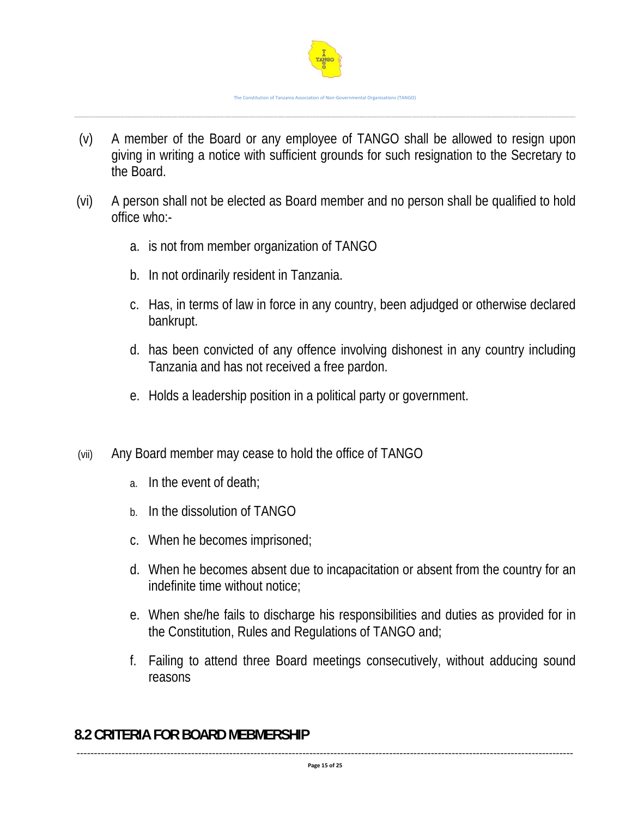

(v) A member of the Board or any employee of TANGO shall be allowed to resign upon giving in writing a notice with sufficient grounds for such resignation to the Secretary to the Board.

……………………………………………………………………………………………………………………………………………………………………………………………………………………………………………………………………………………………………………………………………………………………………………………..

- (vi) A person shall not be elected as Board member and no person shall be qualified to hold office who:
	- a. is not from member organization of TANGO
	- b. In not ordinarily resident in Tanzania.
	- c. Has, in terms of law in force in any country, been adjudged or otherwise declared bankrupt.
	- d. has been convicted of any offence involving dishonest in any country including Tanzania and has not received a free pardon.
	- e. Holds a leadership position in a political party or government.
- (vii) Any Board member may cease to hold the office of TANGO
	- a. In the event of death;
	- b. In the dissolution of TANGO
	- c. When he becomes imprisoned;
	- d. When he becomes absent due to incapacitation or absent from the country for an indefinite time without notice;
	- e. When she/he fails to discharge his responsibilities and duties as provided for in the Constitution, Rules and Regulations of TANGO and;
	- f. Failing to attend three Board meetings consecutively, without adducing sound reasons

# **8.2 CRITERIA FOR BOARD MEBMERSHIP**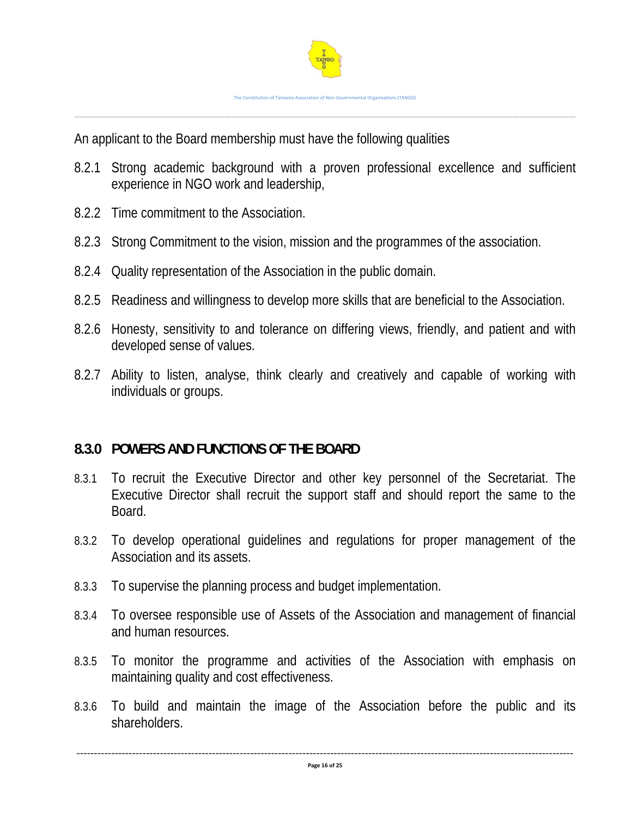

An applicant to the Board membership must have the following qualities

- 8.2.1 Strong academic background with a proven professional excellence and sufficient experience in NGO work and leadership,
- 8.2.2 Time commitment to the Association.
- 8.2.3 Strong Commitment to the vision, mission and the programmes of the association.
- 8.2.4 Quality representation of the Association in the public domain.
- 8.2.5 Readiness and willingness to develop more skills that are beneficial to the Association.
- 8.2.6 Honesty, sensitivity to and tolerance on differing views, friendly, and patient and with developed sense of values.
- 8.2.7 Ability to listen, analyse, think clearly and creatively and capable of working with individuals or groups.

# **8.3.0 POWERS AND FUNCTIONS OF THE BOARD**

- 8.3.1 To recruit the Executive Director and other key personnel of the Secretariat. The Executive Director shall recruit the support staff and should report the same to the Board.
- 8.3.2 To develop operational guidelines and regulations for proper management of the Association and its assets.
- 8.3.3 To supervise the planning process and budget implementation.
- 8.3.4 To oversee responsible use of Assets of the Association and management of financial and human resources.
- 8.3.5 To monitor the programme and activities of the Association with emphasis on maintaining quality and cost effectiveness.
- 8.3.6 To build and maintain the image of the Association before the public and its shareholders.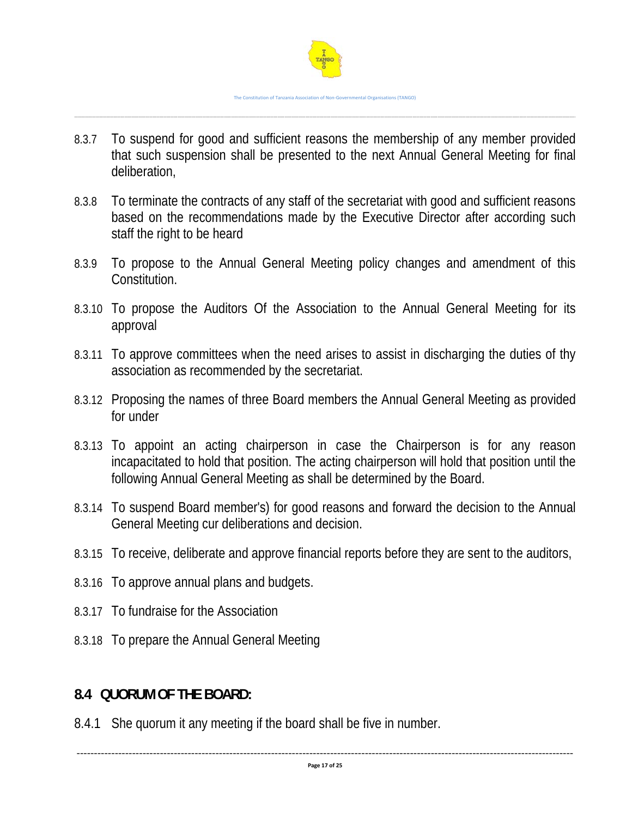

8.3.7 To suspend for good and sufficient reasons the membership of any member provided that such suspension shall be presented to the next Annual General Meeting for final deliberation,

……………………………………………………………………………………………………………………………………………………………………………………………………………………………………………………………………………………………………………………………………………………………………………………..

- 8.3.8 To terminate the contracts of any staff of the secretariat with good and sufficient reasons based on the recommendations made by the Executive Director after according such staff the right to be heard
- 8.3.9 To propose to the Annual General Meeting policy changes and amendment of this Constitution.
- 8.3.10 To propose the Auditors Of the Association to the Annual General Meeting for its approval
- 8.3.11 To approve committees when the need arises to assist in discharging the duties of thy association as recommended by the secretariat.
- 8.3.12 Proposing the names of three Board members the Annual General Meeting as provided for under
- 8.3.13 To appoint an acting chairperson in case the Chairperson is for any reason incapacitated to hold that position. The acting chairperson will hold that position until the following Annual General Meeting as shall be determined by the Board.
- 8.3.14 To suspend Board member's) for good reasons and forward the decision to the Annual General Meeting cur deliberations and decision.
- 8.3.15 To receive, deliberate and approve financial reports before they are sent to the auditors,
- 8.3.16 To approve annual plans and budgets.
- 8.3.17 To fundraise for the Association
- 8.3.18 To prepare the Annual General Meeting

# **8.4 QUORUM OF THE BOARD:**

8.4.1 She quorum it any meeting if the board shall be five in number.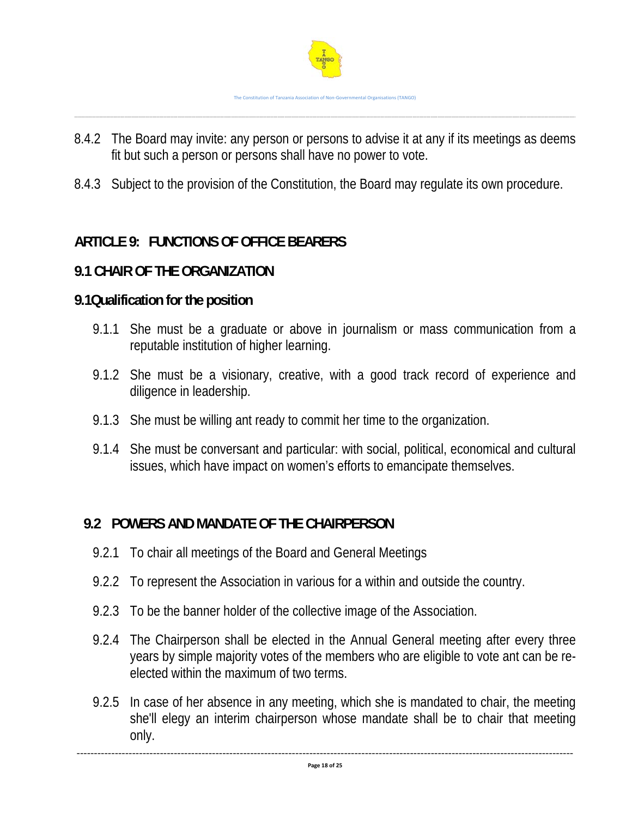

8.4.2 The Board may invite: any person or persons to advise it at any if its meetings as deems fit but such a person or persons shall have no power to vote.

……………………………………………………………………………………………………………………………………………………………………………………………………………………………………………………………………………………………………………………………………………………………………………………..

8.4.3 Subject to the provision of the Constitution, the Board may regulate its own procedure.

# **ARTICLE 9: FUNCTIONS OF OFFICE BEARERS**

# **9.1 CHAIR OF THE ORGANIZATION**

#### **9.1Qualification for the position**

- 9.1.1 She must be a graduate or above in journalism or mass communication from a reputable institution of higher learning.
- 9.1.2 She must be a visionary, creative, with a good track record of experience and diligence in leadership.
- 9.1.3 She must be willing ant ready to commit her time to the organization.
- 9.1.4 She must be conversant and particular: with social, political, economical and cultural issues, which have impact on women's efforts to emancipate themselves.

# **9.2 POWERS AND MANDATE OF THE CHAIRPERSON**

- 9.2.1 To chair all meetings of the Board and General Meetings
- 9.2.2 To represent the Association in various for a within and outside the country.
- 9.2.3 To be the banner holder of the collective image of the Association.
- 9.2.4 The Chairperson shall be elected in the Annual General meeting after every three years by simple majority votes of the members who are eligible to vote ant can be reelected within the maximum of two terms.
- 9.2.5 In case of her absence in any meeting, which she is mandated to chair, the meeting she'll elegy an interim chairperson whose mandate shall be to chair that meeting only.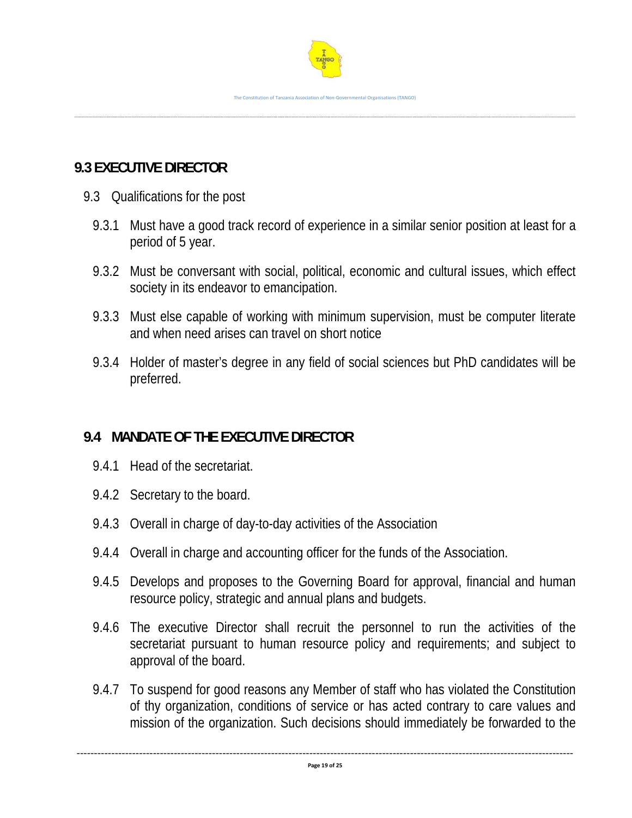

# **9.3 EXECUTIVE DIRECTOR**

- 9.3 Qualifications for the post
	- 9.3.1 Must have a good track record of experience in a similar senior position at least for a period of 5 year.
	- 9.3.2 Must be conversant with social, political, economic and cultural issues, which effect society in its endeavor to emancipation.
	- 9.3.3 Must else capable of working with minimum supervision, must be computer literate and when need arises can travel on short notice
	- 9.3.4 Holder of master's degree in any field of social sciences but PhD candidates will be preferred.

# **9.4 MANDATE OF THE EXECUTIVE DIRECTOR**

- 9.4.1 Head of the secretariat.
- 9.4.2 Secretary to the board.
- 9.4.3 Overall in charge of day-to-day activities of the Association
- 9.4.4 Overall in charge and accounting officer for the funds of the Association.
- 9.4.5 Develops and proposes to the Governing Board for approval, financial and human resource policy, strategic and annual plans and budgets.
- 9.4.6 The executive Director shall recruit the personnel to run the activities of the secretariat pursuant to human resource policy and requirements; and subject to approval of the board.
- 9.4.7 To suspend for good reasons any Member of staff who has violated the Constitution of thy organization, conditions of service or has acted contrary to care values and mission of the organization. Such decisions should immediately be forwarded to the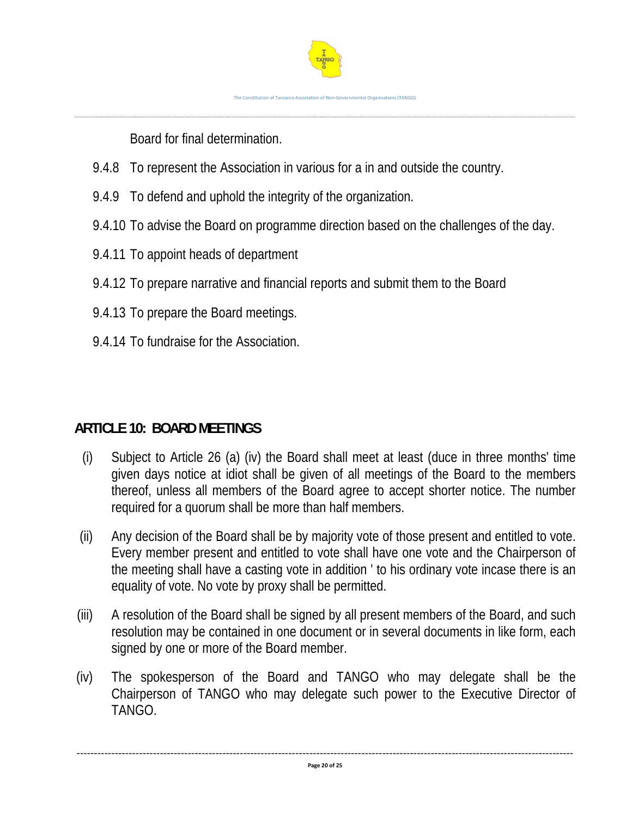Board for final determination.

- 9.4.8 To represent the Association in various for a in and outside the country.
- 9.4.9 To defend and uphold the integrity of the organization.
- 9.4.10 To advise the Board on programme direction based on the challenges of the day.
- 9.4.11 To appoint heads of department
- 9.4.12 To prepare narrative and financial reports and submit them to the Board
- 9.4.13 To prepare the Board meetings.
- 9.4.14 To fundraise for the Association.

# **ARTICLE 10: BOARD MEETINGS**

- (i) Subject to Article 26 (a) (iv) the Board shall meet at least (duce in three months' time given days notice at idiot shall be given of all meetings of the Board to the members thereof, unless all members of the Board agree to accept shorter notice. The number required for a quorum shall be more than half members.
- (ii) Any decision of the Board shall be by majority vote of those present and entitled to vote. Every member present and entitled to vote shall have one vote and the Chairperson of the meeting shall have a casting vote in addition ' to his ordinary vote incase there is an equality of vote. No vote by proxy shall be permitted.
- (iii) A resolution of the Board shall be signed by all present members of the Board, and such resolution may be contained in one document or in several documents in like form, each signed by one or more of the Board member.
- (iv) The spokesperson of the Board and TANGO who may delegate shall be the Chairperson of TANGO who may delegate such power to the Executive Director of TANGO.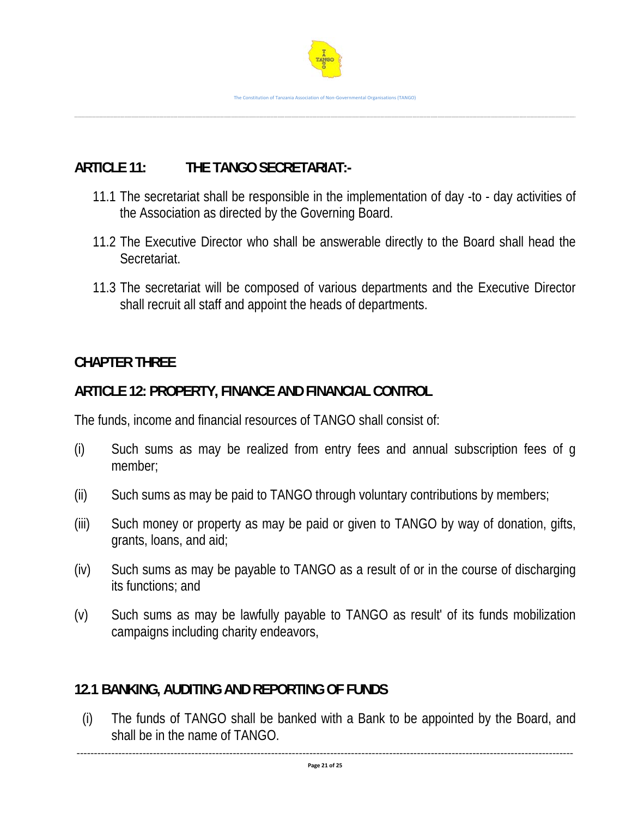

# **ARTICLE 11: THE TANGO SECRETARIAT:-**

- 11.1 The secretariat shall be responsible in the implementation of day -to day activities of the Association as directed by the Governing Board.
- 11.2 The Executive Director who shall be answerable directly to the Board shall head the Secretariat.
- 11.3 The secretariat will be composed of various departments and the Executive Director shall recruit all staff and appoint the heads of departments.

# **CHAPTER THREE**

#### **ARTICLE 12: PROPERTY, FINANCE AND FINANCIAL CONTROL**

The funds, income and financial resources of TANGO shall consist of:

- (i) Such sums as may be realized from entry fees and annual subscription fees of g member;
- (ii) Such sums as may be paid to TANGO through voluntary contributions by members;
- (iii) Such money or property as may be paid or given to TANGO by way of donation, gifts, grants, loans, and aid;
- (iv) Such sums as may be payable to TANGO as a result of or in the course of discharging its functions; and
- (v) Such sums as may be lawfully payable to TANGO as result' of its funds mobilization campaigns including charity endeavors,

# **12.1 BANKING, AUDITING AND REPORTING OF FUNDS**

(i) The funds of TANGO shall be banked with a Bank to be appointed by the Board, and shall be in the name of TANGO.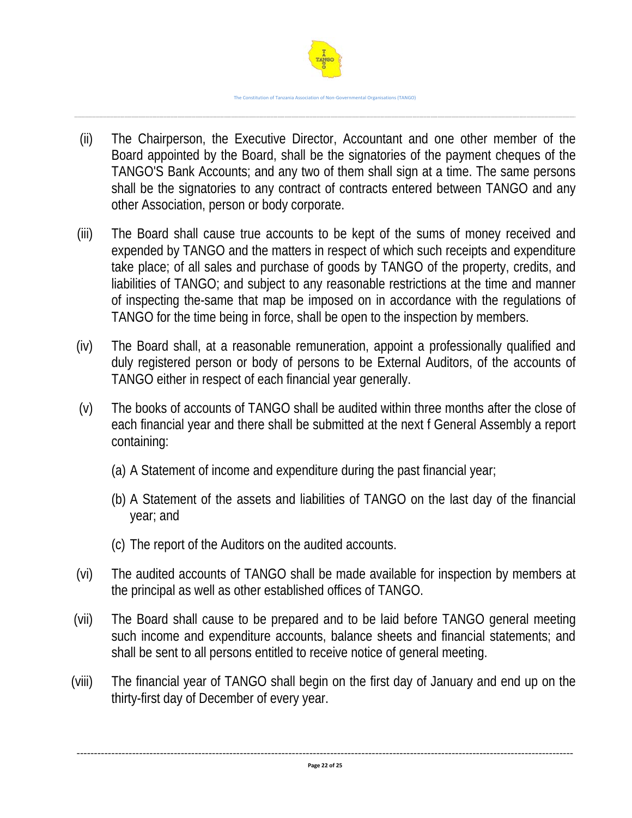

- (ii) The Chairperson, the Executive Director, Accountant and one other member of the Board appointed by the Board, shall be the signatories of the payment cheques of the TANGO'S Bank Accounts; and any two of them shall sign at a time. The same persons shall be the signatories to any contract of contracts entered between TANGO and any other Association, person or body corporate.
- (iii) The Board shall cause true accounts to be kept of the sums of money received and expended by TANGO and the matters in respect of which such receipts and expenditure take place; of all sales and purchase of goods by TANGO of the property, credits, and liabilities of TANGO; and subject to any reasonable restrictions at the time and manner of inspecting the-same that map be imposed on in accordance with the regulations of TANGO for the time being in force, shall be open to the inspection by members.
- (iv) The Board shall, at a reasonable remuneration, appoint a professionally qualified and duly registered person or body of persons to be External Auditors, of the accounts of TANGO either in respect of each financial year generally.
- (v) The books of accounts of TANGO shall be audited within three months after the close of each financial year and there shall be submitted at the next f General Assembly a report containing:
	- (a) A Statement of income and expenditure during the past financial year;
	- (b) A Statement of the assets and liabilities of TANGO on the last day of the financial year; and
	- (c) The report of the Auditors on the audited accounts.
- (vi) The audited accounts of TANGO shall be made available for inspection by members at the principal as well as other established offices of TANGO.
- (vii) The Board shall cause to be prepared and to be laid before TANGO general meeting such income and expenditure accounts, balance sheets and financial statements; and shall be sent to all persons entitled to receive notice of general meeting.
- (viii) The financial year of TANGO shall begin on the first day of January and end up on the thirty-first day of December of every year.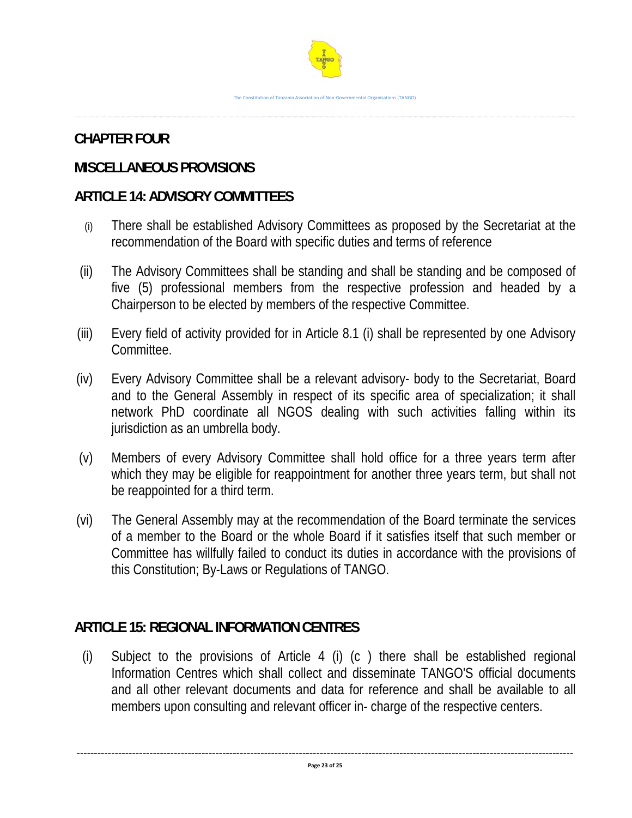# **CHAPTER FOUR**

# **MISCELLANEOUS PROVISIONS**

# **ARTICLE 14: ADVISORY COMMITTEES**

- (i) There shall be established Advisory Committees as proposed by the Secretariat at the recommendation of the Board with specific duties and terms of reference
- (ii) The Advisory Committees shall be standing and shall be standing and be composed of five (5) professional members from the respective profession and headed by a Chairperson to be elected by members of the respective Committee.
- (iii) Every field of activity provided for in Article 8.1 (i) shall be represented by one Advisory Committee.
- (iv) Every Advisory Committee shall be a relevant advisory- body to the Secretariat, Board and to the General Assembly in respect of its specific area of specialization; it shall network PhD coordinate all NGOS dealing with such activities falling within its jurisdiction as an umbrella body.
- (v) Members of every Advisory Committee shall hold office for a three years term after which they may be eligible for reappointment for another three years term, but shall not be reappointed for a third term.
- (vi) The General Assembly may at the recommendation of the Board terminate the services of a member to the Board or the whole Board if it satisfies itself that such member or Committee has willfully failed to conduct its duties in accordance with the provisions of this Constitution; By-Laws or Regulations of TANGO.

# **ARTICLE 15: REGIONAL INFORMATION CENTRES**

(i) Subject to the provisions of Article 4 (i) (c ) there shall be established regional Information Centres which shall collect and disseminate TANGO'S official documents and all other relevant documents and data for reference and shall be available to all members upon consulting and relevant officer in- charge of the respective centers.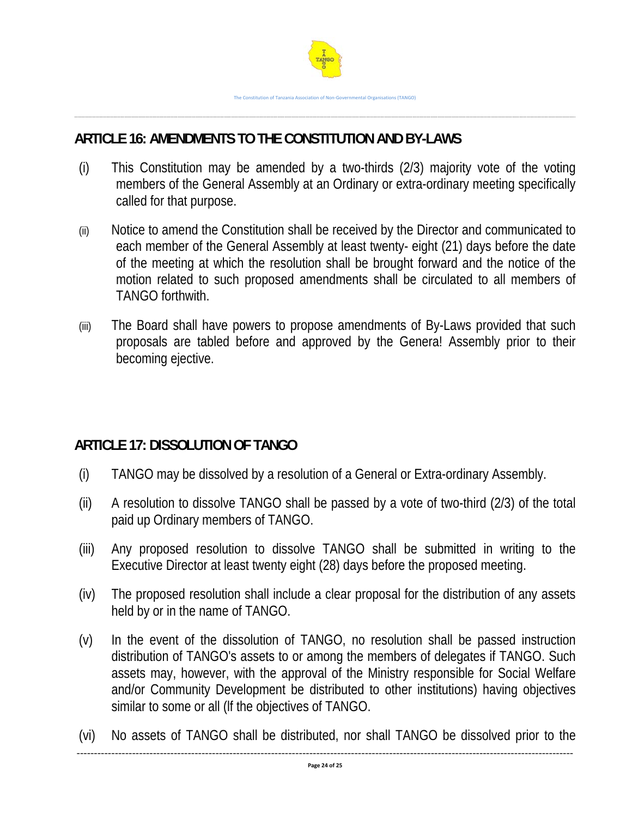

# **ARTICLE 16: AMENDMENTS TO THE CONSTITUTION AND BY-LAWS**

- (i) This Constitution may be amended by a two-thirds (2/3) majority vote of the voting members of the General Assembly at an Ordinary or extra-ordinary meeting specifically called for that purpose.
- (ii) Notice to amend the Constitution shall be received by the Director and communicated to each member of the General Assembly at least twenty- eight (21) days before the date of the meeting at which the resolution shall be brought forward and the notice of the motion related to such proposed amendments shall be circulated to all members of TANGO forthwith.
- (iii) The Board shall have powers to propose amendments of By-Laws provided that such proposals are tabled before and approved by the Genera! Assembly prior to their becoming ejective.

# **ARTICLE 17: DISSOLUTION OF TANGO**

- (i) TANGO may be dissolved by a resolution of a General or Extra-ordinary Assembly.
- (ii) A resolution to dissolve TANGO shall be passed by a vote of two-third (2/3) of the total paid up Ordinary members of TANGO.
- (iii) Any proposed resolution to dissolve TANGO shall be submitted in writing to the Executive Director at least twenty eight (28) days before the proposed meeting.
- (iv) The proposed resolution shall include a clear proposal for the distribution of any assets held by or in the name of TANGO.
- (v) In the event of the dissolution of TANGO, no resolution shall be passed instruction distribution of TANGO's assets to or among the members of delegates if TANGO. Such assets may, however, with the approval of the Ministry responsible for Social Welfare and/or Community Development be distributed to other institutions) having objectives similar to some or all (lf the objectives of TANGO.
- (vi) No assets of TANGO shall be distributed, nor shall TANGO be dissolved prior to the